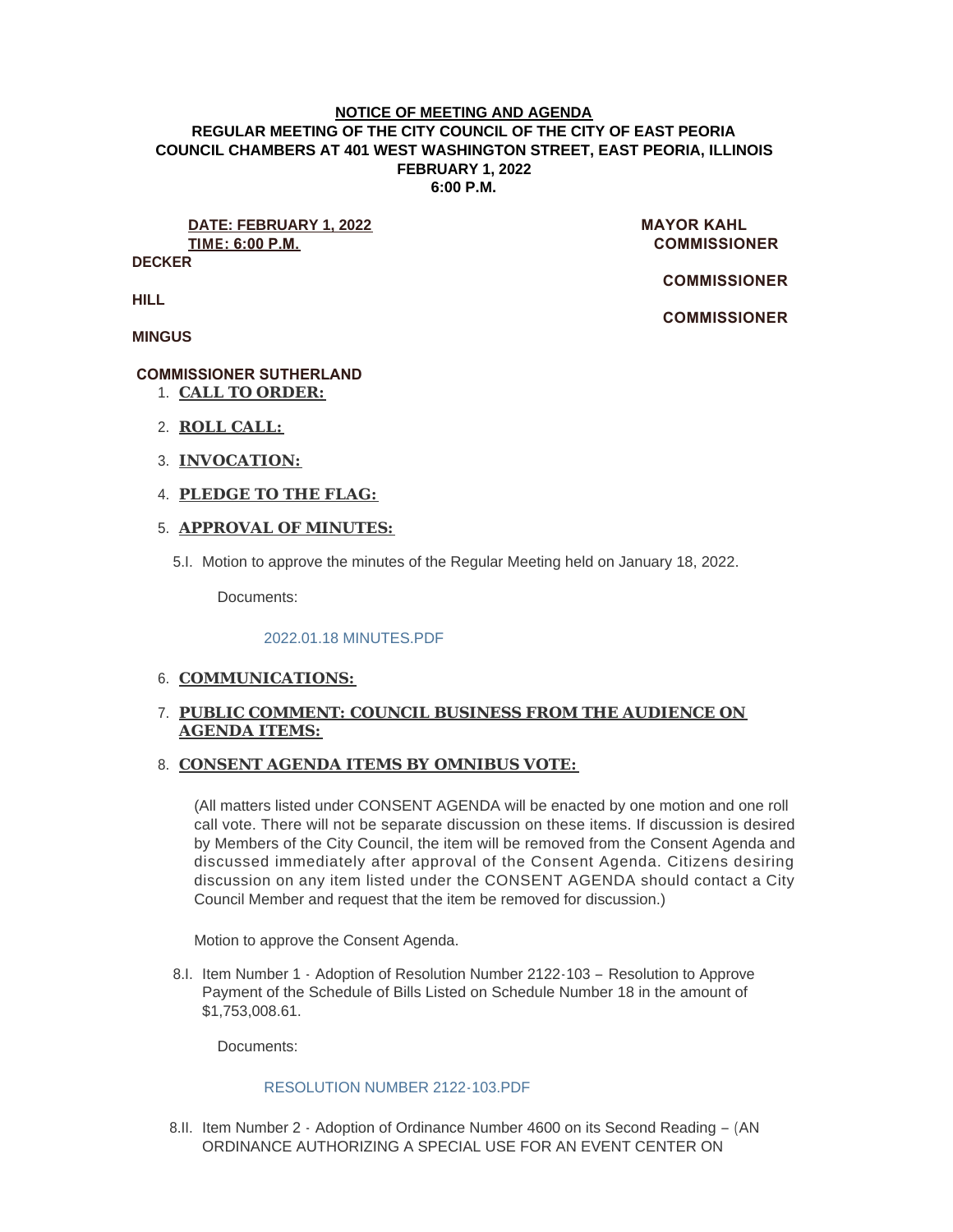#### **NOTICE OF MEETING AND AGENDA REGULAR MEETING OF THE CITY COUNCIL OF THE CITY OF EAST PEORIA COUNCIL CHAMBERS AT 401 WEST WASHINGTON STREET, EAST PEORIA, ILLINOIS FEBRUARY 1, 2022 6:00 P.M.**

**DATE: FEBRUARY 1, 2022 MAYOR KAHL TIME: 6:00 P.M. COMMISSIONER** 

**DECKER**

 **COMMISSIONER** 

 **COMMISSIONER** 

**HILL**

**MINGUS**

# **COMMISSIONER SUTHERLAND**

- **CALL TO ORDER:** 1.
- **ROLL CALL:** 2.
- **INVOCATION:** 3.
- **PLEDGE TO THE FLAG:** 4.

### **APPROVAL OF MINUTES:** 5.

5.I. Motion to approve the minutes of the Regular Meeting held on January 18, 2022.

Documents:

#### [2022.01.18 MINUTES.PDF](https://www.cityofeastpeoria.com/AgendaCenter/ViewFile/Item/4089?fileID=29119)

## 6. COMMUNICATIONS:

# **PUBLIC COMMENT: COUNCIL BUSINESS FROM THE AUDIENCE ON**  7. **AGENDA ITEMS:**

# **CONSENT AGENDA ITEMS BY OMNIBUS VOTE:**  8.

(All matters listed under CONSENT AGENDA will be enacted by one motion and one roll call vote. There will not be separate discussion on these items. If discussion is desired by Members of the City Council, the item will be removed from the Consent Agenda and discussed immediately after approval of the Consent Agenda. Citizens desiring discussion on any item listed under the CONSENT AGENDA should contact a City Council Member and request that the item be removed for discussion.)

Motion to approve the Consent Agenda.

8.I. Item Number 1 - Adoption of Resolution Number 2122-103 - Resolution to Approve Payment of the Schedule of Bills Listed on Schedule Number 18 in the amount of \$1,753,008.61.

Documents:

# [RESOLUTION NUMBER 2122-103.PDF](https://www.cityofeastpeoria.com/AgendaCenter/ViewFile/Item/4096?fileID=29331)

8.II. Item Number 2 - Adoption of Ordinance Number 4600 on its Second Reading - (AN ORDINANCE AUTHORIZING A SPECIAL USE FOR AN EVENT CENTER ON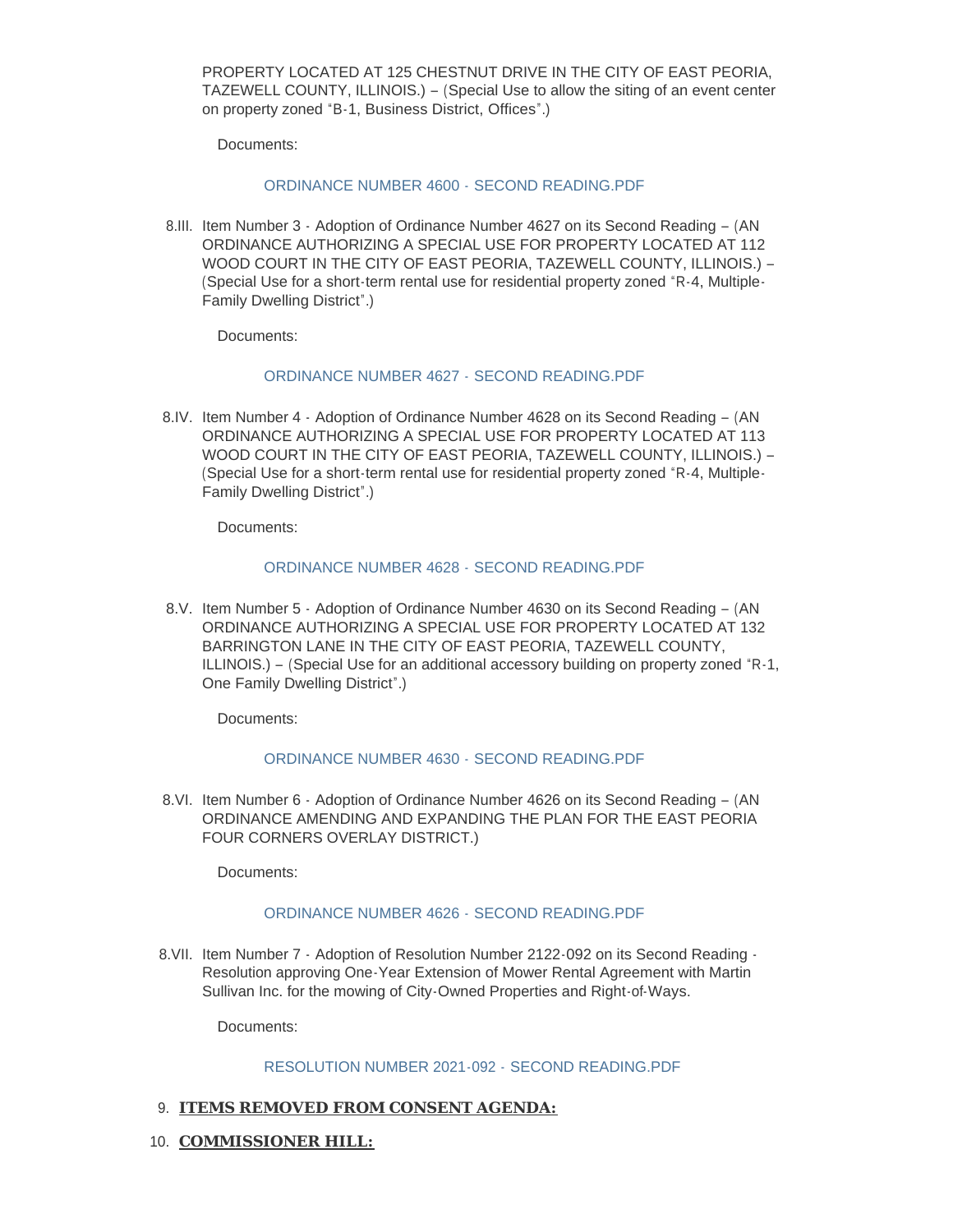PROPERTY LOCATED AT 125 CHESTNUT DRIVE IN THE CITY OF EAST PEORIA, TAZEWELL COUNTY, ILLINOIS.) – (Special Use to allow the siting of an event center on property zoned "B-1, Business District, Offices".)

Documents:

#### [ORDINANCE NUMBER 4600 -](https://www.cityofeastpeoria.com/AgendaCenter/ViewFile/Item/4078?fileID=29108) SECOND READING.PDF

8.III. Item Number 3 - Adoption of Ordinance Number 4627 on its Second Reading - (AN ORDINANCE AUTHORIZING A SPECIAL USE FOR PROPERTY LOCATED AT 112 WOOD COURT IN THE CITY OF EAST PEORIA, TAZEWELL COUNTY, ILLINOIS.) – (Special Use for a short-term rental use for residential property zoned "R-4, Multiple-Family Dwelling District".)

Documents:

#### [ORDINANCE NUMBER 4627 -](https://www.cityofeastpeoria.com/AgendaCenter/ViewFile/Item/4079?fileID=29109) SECOND READING.PDF

8.IV. Item Number 4 - Adoption of Ordinance Number 4628 on its Second Reading - (AN ORDINANCE AUTHORIZING A SPECIAL USE FOR PROPERTY LOCATED AT 113 WOOD COURT IN THE CITY OF EAST PEORIA, TAZEWELL COUNTY, ILLINOIS.) – (Special Use for a short-term rental use for residential property zoned "R-4, Multiple-Family Dwelling District".)

Documents:

#### [ORDINANCE NUMBER 4628 -](https://www.cityofeastpeoria.com/AgendaCenter/ViewFile/Item/4080?fileID=29110) SECOND READING.PDF

8.V. Item Number 5 - Adoption of Ordinance Number 4630 on its Second Reading - (AN ORDINANCE AUTHORIZING A SPECIAL USE FOR PROPERTY LOCATED AT 132 BARRINGTON LANE IN THE CITY OF EAST PEORIA, TAZEWELL COUNTY, ILLINOIS.) – (Special Use for an additional accessory building on property zoned "R-1, One Family Dwelling District".)

Documents:

#### [ORDINANCE NUMBER 4630 -](https://www.cityofeastpeoria.com/AgendaCenter/ViewFile/Item/4081?fileID=29111) SECOND READING.PDF

8.VI. Item Number 6 - Adoption of Ordinance Number 4626 on its Second Reading - (AN ORDINANCE AMENDING AND EXPANDING THE PLAN FOR THE EAST PEORIA FOUR CORNERS OVERLAY DISTRICT.)

Documents:

#### [ORDINANCE NUMBER 4626 -](https://www.cityofeastpeoria.com/AgendaCenter/ViewFile/Item/4082?fileID=29112) SECOND READING.PDF

8.VII. Item Number 7 - Adoption of Resolution Number 2122-092 on its Second Reading -Resolution approving One-Year Extension of Mower Rental Agreement with Martin Sullivan Inc. for the mowing of City-Owned Properties and Right-of-Ways.

Documents:

#### [RESOLUTION NUMBER 2021-092 -](https://www.cityofeastpeoria.com/AgendaCenter/ViewFile/Item/4083?fileID=29113) SECOND READING.PDF

### **ITEMS REMOVED FROM CONSENT AGENDA:** 9.

10. **COMMISSIONER HILL:**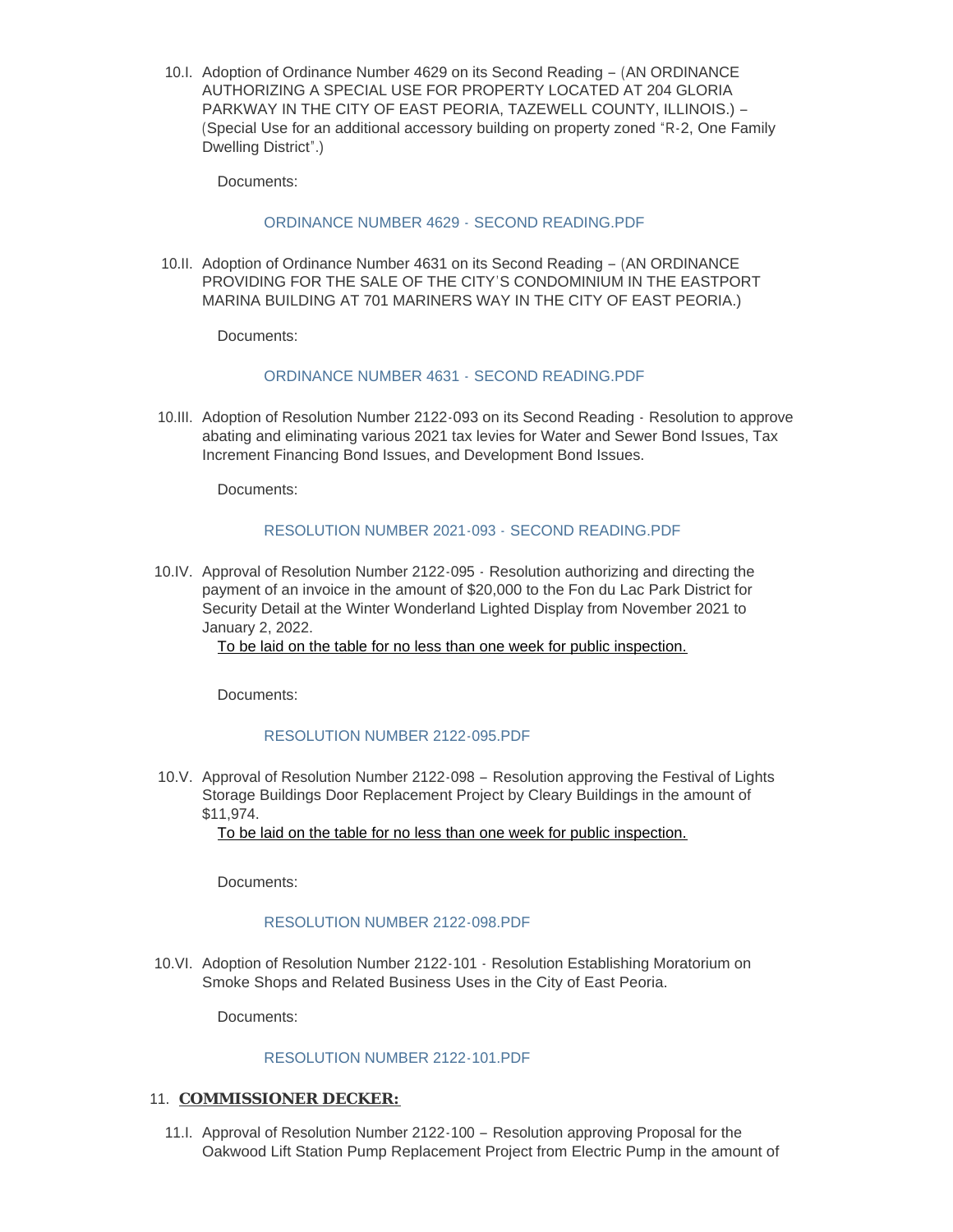10.I. Adoption of Ordinance Number 4629 on its Second Reading - (AN ORDINANCE) AUTHORIZING A SPECIAL USE FOR PROPERTY LOCATED AT 204 GLORIA PARKWAY IN THE CITY OF EAST PEORIA, TAZEWELL COUNTY, ILLINOIS.) – (Special Use for an additional accessory building on property zoned "R-2, One Family Dwelling District".)

Documents:

### [ORDINANCE NUMBER 4629 -](https://www.cityofeastpeoria.com/AgendaCenter/ViewFile/Item/4084?fileID=29114) SECOND READING.PDF

10.II. Adoption of Ordinance Number 4631 on its Second Reading - (AN ORDINANCE) PROVIDING FOR THE SALE OF THE CITY'S CONDOMINIUM IN THE EASTPORT MARINA BUILDING AT 701 MARINERS WAY IN THE CITY OF EAST PEORIA.)

Documents:

#### [ORDINANCE NUMBER 4631 -](https://www.cityofeastpeoria.com/AgendaCenter/ViewFile/Item/4085?fileID=29115) SECOND READING.PDF

10.III. Adoption of Resolution Number 2122-093 on its Second Reading - Resolution to approve abating and eliminating various 2021 tax levies for Water and Sewer Bond Issues, Tax Increment Financing Bond Issues, and Development Bond Issues.

Documents:

#### [RESOLUTION NUMBER 2021-093 -](https://www.cityofeastpeoria.com/AgendaCenter/ViewFile/Item/4086?fileID=29116) SECOND READING.PDF

10.IV. Approval of Resolution Number 2122-095 - Resolution authorizing and directing the payment of an invoice in the amount of \$20,000 to the Fon du Lac Park District for Security Detail at the Winter Wonderland Lighted Display from November 2021 to January 2, 2022.

To be laid on the table for no less than one week for public inspection.

Documents:

#### [RESOLUTION NUMBER 2122-095.PDF](https://www.cityofeastpeoria.com/AgendaCenter/ViewFile/Item/4087?fileID=29117)

10.V. Approval of Resolution Number 2122-098 - Resolution approving the Festival of Lights Storage Buildings Door Replacement Project by Cleary Buildings in the amount of \$11,974.

To be laid on the table for no less than one week for public inspection.

Documents:

#### [RESOLUTION NUMBER 2122-098.PDF](https://www.cityofeastpeoria.com/AgendaCenter/ViewFile/Item/4088?fileID=29118)

10.VI. Adoption of Resolution Number 2122-101 - Resolution Establishing Moratorium on Smoke Shops and Related Business Uses in the City of East Peoria.

Documents:

# [RESOLUTION NUMBER 2122-101.PDF](https://www.cityofeastpeoria.com/AgendaCenter/ViewFile/Item/4090?fileID=29326)

#### 11. **COMMISSIONER DECKER:**

11. Approval of Resolution Number 2122-100 - Resolution approving Proposal for the Oakwood Lift Station Pump Replacement Project from Electric Pump in the amount of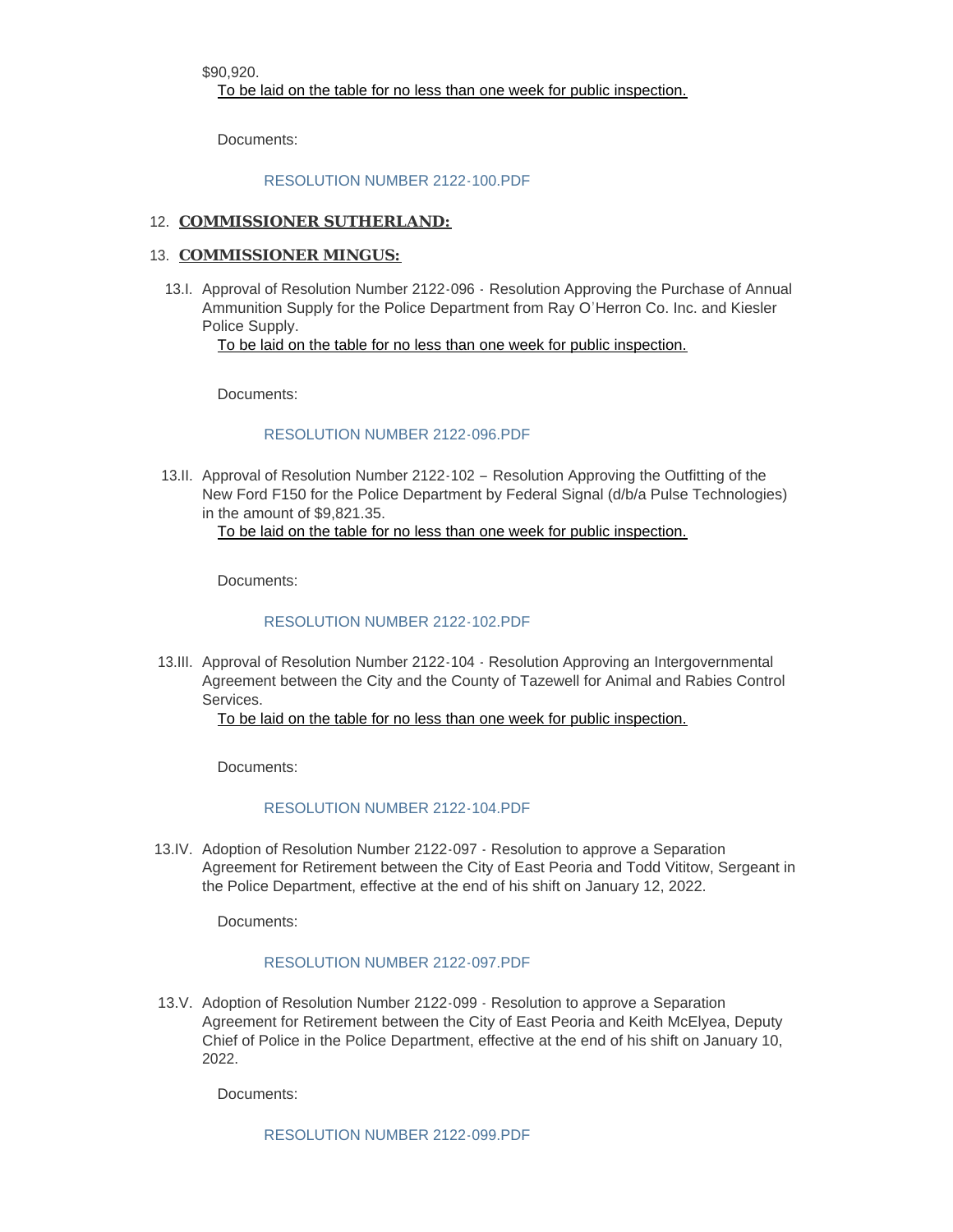\$90,920.

To be laid on the table for no less than one week for public inspection.

Documents:

#### [RESOLUTION NUMBER 2122-100.PDF](https://www.cityofeastpeoria.com/AgendaCenter/ViewFile/Item/4091?fileID=29327)

## 12. **COMMISSIONER SUTHERLAND:**

#### 13. **COMMISSIONER MINGUS:**

13.I. Approval of Resolution Number 2122-096 - Resolution Approving the Purchase of Annual Ammunition Supply for the Police Department from Ray O'Herron Co. Inc. and Kiesler Police Supply.

To be laid on the table for no less than one week for public inspection.

Documents:

#### [RESOLUTION NUMBER 2122-096.PDF](https://www.cityofeastpeoria.com/AgendaCenter/ViewFile/Item/4092?fileID=29328)

13.II. Approval of Resolution Number 2122-102 - Resolution Approving the Outfitting of the New Ford F150 for the Police Department by Federal Signal (d/b/a Pulse Technologies) in the amount of \$9,821.35.

To be laid on the table for no less than one week for public inspection.

Documents:

#### RESOLUTION NUMBER 2122-102 PDF

13.III. Approval of Resolution Number 2122-104 - Resolution Approving an Intergovernmental Agreement between the City and the County of Tazewell for Animal and Rabies Control Services.

To be laid on the table for no less than one week for public inspection.

Documents:

#### [RESOLUTION NUMBER 2122-104.PDF](https://www.cityofeastpeoria.com/AgendaCenter/ViewFile/Item/4098?fileID=29333)

13.IV. Adoption of Resolution Number 2122-097 - Resolution to approve a Separation Agreement for Retirement between the City of East Peoria and Todd Vititow, Sergeant in the Police Department, effective at the end of his shift on January 12, 2022.

Documents:

#### RESOLUTION NUMBER 2122-097 PDF

13.V. Adoption of Resolution Number 2122-099 - Resolution to approve a Separation Agreement for Retirement between the City of East Peoria and Keith McElyea, Deputy Chief of Police in the Police Department, effective at the end of his shift on January 10, 2022.

Documents:

[RESOLUTION NUMBER 2122-099.PDF](https://www.cityofeastpeoria.com/AgendaCenter/ViewFile/Item/4094?fileID=29330)